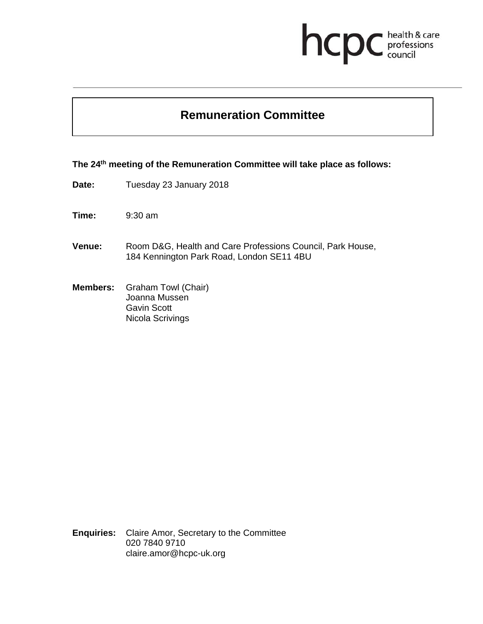# health & care<br>professions<br>council hcp

## **Remuneration Committee**

**The 24th meeting of the Remuneration Committee will take place as follows:** 

- **Date:** Tuesday 23 January 2018
- **Time:** 9:30 am
- **Venue:** Room D&G, Health and Care Professions Council, Park House, 184 Kennington Park Road, London SE11 4BU
- **Members:** Graham Towl (Chair) Joanna Mussen Gavin Scott Nicola Scrivings

**Enquiries:** Claire Amor, Secretary to the Committee 020 7840 9710 claire.amor@hcpc-uk.org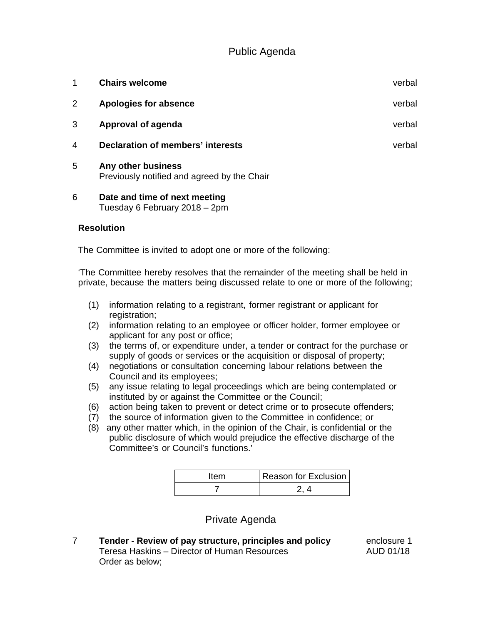### Public Agenda

| 1 | <b>Chairs welcome</b>                                             | verbal |
|---|-------------------------------------------------------------------|--------|
| 2 | Apologies for absence                                             | verbal |
| 3 | Approval of agenda                                                | verbal |
| 4 | <b>Declaration of members' interests</b>                          | verbal |
| 5 | Any other business<br>Previously notified and agreed by the Chair |        |

6 **Date and time of next meeting** Tuesday 6 February 2018 – 2pm

#### **Resolution**

The Committee is invited to adopt one or more of the following:

'The Committee hereby resolves that the remainder of the meeting shall be held in private, because the matters being discussed relate to one or more of the following;

- (1) information relating to a registrant, former registrant or applicant for registration;
- (2) information relating to an employee or officer holder, former employee or applicant for any post or office;
- (3) the terms of, or expenditure under, a tender or contract for the purchase or supply of goods or services or the acquisition or disposal of property;
- (4) negotiations or consultation concerning labour relations between the Council and its employees;
- (5) any issue relating to legal proceedings which are being contemplated or instituted by or against the Committee or the Council;
- (6) action being taken to prevent or detect crime or to prosecute offenders;
- (7) the source of information given to the Committee in confidence; or
- (8) any other matter which, in the opinion of the Chair, is confidential or the public disclosure of which would prejudice the effective discharge of the Committee's or Council's functions.'

| Item | Reason for Exclusion |
|------|----------------------|
|      |                      |

#### Private Agenda

7 **Tender - Review of pay structure, principles and policy** enclosure 1 Teresa Haskins – Director of Human Resources AUD 01/18 Order as below;